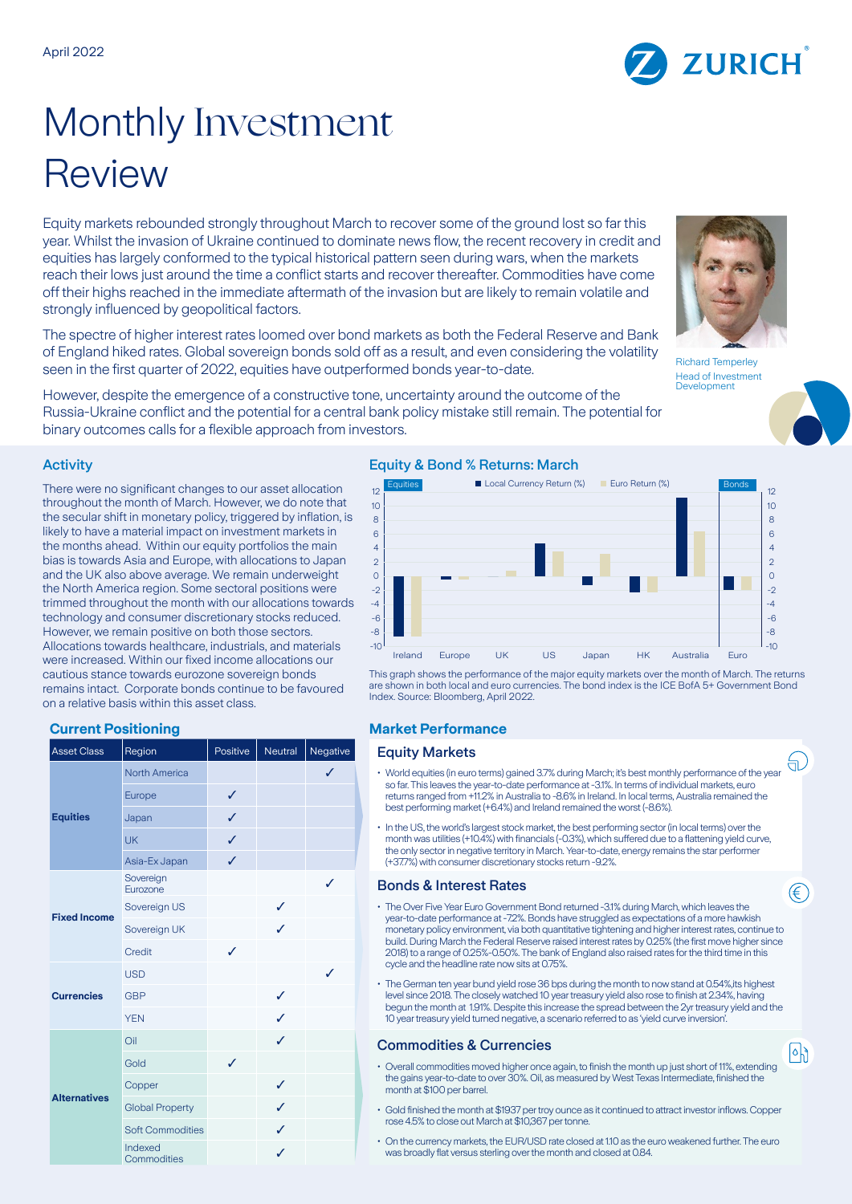

# Monthly Investment Review

Equity markets rebounded strongly throughout March to recover some of the ground lost so far this year. Whilst the invasion of Ukraine continued to dominate news flow, the recent recovery in credit and equities has largely conformed to the typical historical pattern seen during wars, when the markets reach their lows just around the time a conflict starts and recover thereafter. Commodities have come off their highs reached in the immediate aftermath of the invasion but are likely to remain volatile and strongly influenced by geopolitical factors.

The spectre of higher interest rates loomed over bond markets as both the Federal Reserve and Bank of England hiked rates. Global sovereign bonds sold off as a result, and even considering the volatility seen in the first quarter of 2022, equities have outperformed bonds year-to-date.

However, despite the emergence of a constructive tone, uncertainty around the outcome of the Russia-Ukraine conflict and the potential for a central bank policy mistake still remain. The potential for binary outcomes calls for a flexible approach from investors.

## Activity

There were no significant changes to our asset allocation throughout the month of March. However, we do note that the secular shift in monetary policy, triggered by inflation, is likely to have a material impact on investment markets in the months ahead. Within our equity portfolios the main bias is towards Asia and Europe, with allocations to Japan and the UK also above average. We remain underweight the North America region. Some sectoral positions were trimmed throughout the month with our allocations towards technology and consumer discretionary stocks reduced. However, we remain positive on both those sectors. Allocations towards healthcare, industrials, and materials were increased. Within our fixed income allocations our cautious stance towards eurozone sovereign bonds remains intact. Corporate bonds continue to be favoured on a relative basis within this asset class.

## **Current Positioning Market Performance**

| <b>Asset Class</b>  | Region                  | Positive | Neutral | Negative     |
|---------------------|-------------------------|----------|---------|--------------|
| <b>Equities</b>     | <b>North America</b>    |          |         | $\checkmark$ |
|                     | Europe                  | ✓        |         |              |
|                     | Japan                   | ✓        |         |              |
|                     | <b>UK</b>               | ✓        |         |              |
|                     | Asia-Ex Japan           | ✓        |         |              |
| <b>Fixed Income</b> | Sovereign<br>Eurozone   |          |         | J            |
|                     | Sovereign US            |          | ✓       |              |
|                     | Sovereign UK            |          | ℐ       |              |
|                     | Credit                  | ✓        |         |              |
| <b>Currencies</b>   | <b>USD</b>              |          |         | J            |
|                     | <b>GBP</b>              |          | ✓       |              |
|                     | <b>YEN</b>              |          | ℐ       |              |
| <b>Alternatives</b> | Oil                     |          | ✓       |              |
|                     | Gold                    | J        |         |              |
|                     | Copper                  |          | ✓       |              |
|                     | <b>Global Property</b>  |          | J       |              |
|                     | <b>Soft Commodities</b> |          | J       |              |
|                     | Indexed<br>Commodities  |          | ✓       |              |

# Equity & Bond % Returns: March



This graph shows the performance of the major equity markets over the month of March. The returns are shown in both local and euro currencies. The bond index is the ICE BofA 5+ Government Bond Index. Source: Bloomberg, April 2022.

### **Equity Markets**

- World equities (in euro terms) gained 3.7% during March; it's best monthly performance of the year so far. This leaves the year-to-date performance at -3.1%. In terms of individual markets, euro returns ranged from +11.2% in Australia to -8.6% in Ireland. In local terms, Australia remained the best performing market (+6.4%) and Ireland remained the worst (-8.6%).
- In the US, the world's largest stock market, the best performing sector (in local terms) over the month was utilities (+10.4%) with financials (-0.3%), which suffered due to a flattening yield curve, the only sector in negative territory in March. Year-to-date, energy remains the star performer (+37.7%) with consumer discretionary stocks return -9.2%.

## **Bonds & Interest Rates**

- The Over Five Year Euro Government Bond returned -3.1% during March, which leaves the year-to-date performance at -7.2%. Bonds have struggled as expectations of a more hawkish monetary policy environment, via both quantitative tightening and higher interest rates, continue to build. During March the Federal Reserve raised interest rates by 0.25% (the first move higher since 2018) to a range of 0.25%-0.50%. The bank of England also raised rates for the third time in this cycle and the headline rate now sits at 0.75%.
- The German ten year bund yield rose 36 bps during the month to now stand at 0.54%,its highest level since 2018. The closely watched 10 year treasury yield also rose to finish at 2.34%, having begun the month at 1.91%. Despite this increase the spread between the 2yr treasury yield and the 10 year treasury yield turned negative, a scenario referred to as 'yield curve inversion'.

## **Commodities & Currencies**

- Overall commodities moved higher once again, to finish the month up just short of 11%, extending the gains year-to-date to over 30%. Oil, as measured by West Texas Intermediate, finished the month at \$100 per barrel.
- Gold finished the month at \$1937 per troy ounce as it continued to attract investor inflows. Copper rose 4.5% to close out March at \$10,367 per tonne.
- On the currency markets, the EUR/USD rate closed at 1.10 as the euro weakened further. The euro was broadly flat versus sterling over the month and closed at 0.84.





(ਜ

∈

 $|\circ|$ ا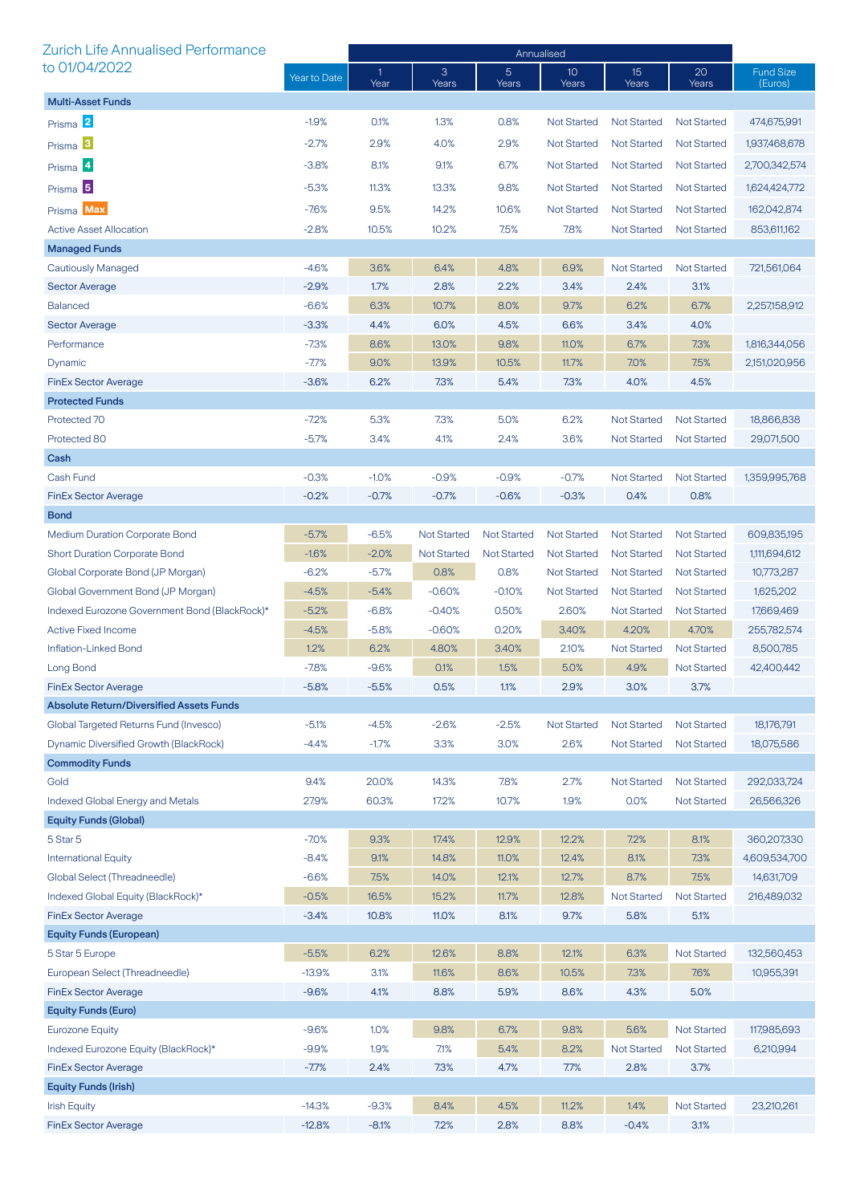| <b>Zurich Life Annualised Performance</b>       |                    | Annualised           |                    |                         |                          |                    |                    |                             |
|-------------------------------------------------|--------------------|----------------------|--------------------|-------------------------|--------------------------|--------------------|--------------------|-----------------------------|
| to 01/04/2022                                   | Year to Date       | $\mathbf{1}$<br>Year | 3<br>Years         | $\overline{5}$<br>Years | 10 <sup>°</sup><br>Years | 15<br>Years        | 20<br>Years        | <b>Fund Size</b><br>(Euros) |
| <b>Multi-Asset Funds</b>                        |                    |                      |                    |                         |                          |                    |                    |                             |
| Prisma 2                                        | $-1.9%$            | 0.1%                 | 1.3%               | 0.8%                    | <b>Not Started</b>       | <b>Not Started</b> | <b>Not Started</b> | 474,675,991                 |
| Prisma <sup>3</sup>                             | $-2.7%$            | 2.9%                 | 4.0%               | 2.9%                    | <b>Not Started</b>       | <b>Not Started</b> | <b>Not Started</b> | 1,937,468,678               |
| Prisma <sup>4</sup>                             | $-3.8%$            | 8.1%                 | 9.1%               | 6.7%                    | <b>Not Started</b>       | <b>Not Started</b> | <b>Not Started</b> | 2,700,342,574               |
|                                                 | $-5.3%$            | 11.3%                | 13.3%              | 9.8%                    | <b>Not Started</b>       | <b>Not Started</b> | <b>Not Started</b> | 1,624,424,772               |
| Prisma <sup>5</sup>                             |                    |                      |                    |                         |                          |                    |                    |                             |
| Prisma Max                                      | $-7.6%$            | 9.5%                 | 14.2%              | 10.6%                   | <b>Not Started</b>       | <b>Not Started</b> | <b>Not Started</b> | 162,042,874                 |
| <b>Active Asset Allocation</b>                  | $-2.8%$            | 10.5%                | 10.2%              | 7.5%                    | 7.8%                     | <b>Not Started</b> | <b>Not Started</b> | 853,611,162                 |
| <b>Managed Funds</b>                            |                    |                      |                    |                         |                          |                    |                    |                             |
| Cautiously Managed                              | $-4.6%$            | 3.6%                 | 6.4%               | 4.8%                    | 6.9%                     | <b>Not Started</b> | <b>Not Started</b> | 721,561,064                 |
| <b>Sector Average</b>                           | $-2.9%$<br>$-6.6%$ | 1.7%                 | 2.8%<br>10.7%      | 2.2%<br>8.0%            | 3.4%                     | 2.4%               | 3.1%               |                             |
| <b>Balanced</b><br><b>Sector Average</b>        |                    | 6.3%                 | 6.0%               |                         | 9.7%<br>6.6%             | 6.2%               | 6.7%               | 2,257,158,912               |
| Performance                                     | $-3.3%$<br>$-7.3%$ | 4.4%<br>8.6%         | 13.0%              | 4.5%<br>9.8%            | 11.0%                    | 3.4%<br>6.7%       | 4.0%<br>7.3%       | 1,816,344,056               |
| Dynamic                                         | $-7.7%$            | 9.0%                 | 13.9%              | 10.5%                   | 11.7%                    | 7.0%               | 7.5%               | 2,151,020,956               |
| <b>FinEx Sector Average</b>                     | $-3.6%$            | 6.2%                 | 7.3%               | 5.4%                    | 7.3%                     | 4.0%               | 4.5%               |                             |
| <b>Protected Funds</b>                          |                    |                      |                    |                         |                          |                    |                    |                             |
| Protected 70                                    | $-7.2%$            | 5.3%                 | 7.3%               | 5.0%                    | 6.2%                     | <b>Not Started</b> | <b>Not Started</b> | 18,866,838                  |
| Protected 80                                    | $-5.7%$            | 3.4%                 | 4.1%               | 2.4%                    | 3.6%                     | <b>Not Started</b> | <b>Not Started</b> | 29,071,500                  |
| Cash                                            |                    |                      |                    |                         |                          |                    |                    |                             |
| Cash Fund                                       | $-0.3%$            | $-1.0%$              | $-0.9%$            | $-0.9%$                 | $-0.7%$                  | <b>Not Started</b> | <b>Not Started</b> | 1,359,995,768               |
| <b>FinEx Sector Average</b>                     | $-0.2%$            | $-0.7%$              | $-0.7%$            | $-0.6%$                 | $-0.3%$                  | 0.4%               | 0.8%               |                             |
| <b>Bond</b>                                     |                    |                      |                    |                         |                          |                    |                    |                             |
| <b>Medium Duration Corporate Bond</b>           | $-5.7%$            | $-6.5%$              | <b>Not Started</b> | <b>Not Started</b>      | <b>Not Started</b>       | <b>Not Started</b> | <b>Not Started</b> | 609,835,195                 |
| <b>Short Duration Corporate Bond</b>            | $-1.6%$            | $-2.0%$              | <b>Not Started</b> | <b>Not Started</b>      | <b>Not Started</b>       | <b>Not Started</b> | <b>Not Started</b> | 1,111,694,612               |
| Global Corporate Bond (JP Morgan)               | $-6.2%$            | $-5.7%$              | 0.8%               | 0.8%                    | <b>Not Started</b>       | <b>Not Started</b> | <b>Not Started</b> | 10,773,287                  |
| Global Government Bond (JP Morgan)              | $-4.5%$            | $-5.4%$              | $-0.60%$           | $-0.10%$                | <b>Not Started</b>       | <b>Not Started</b> | <b>Not Started</b> | 1,625,202                   |
| Indexed Eurozone Government Bond (BlackRock)*   | $-5.2%$            | $-6.8%$              | $-0.40%$           | 0.50%                   | 2.60%                    | <b>Not Started</b> | <b>Not Started</b> | 17,669,469                  |
| <b>Active Fixed Income</b>                      | $-4.5%$            | $-5.8%$              | $-0.60%$           | 0.20%                   | 3.40%                    | 4.20%              | 4.70%              | 255,782,574                 |
| Inflation-Linked Bond                           | 1.2%               | 6.2%                 | 4.80%              | 3.40%                   | 2.10%                    | <b>Not Started</b> | <b>Not Started</b> | 8,500,785                   |
| Long Bond                                       | $-7.8%$            | $-9.6%$              | 0.1%               | 1.5%                    | 5.0%                     | 4.9%               | <b>Not Started</b> | 42,400,442                  |
| FinEx Sector Average                            | $-5.8%$            | $-5.5%$              | 0.5%               | $1.1\%$                 | 2.9%                     | 3.0%               | 3.7%               |                             |
| <b>Absolute Return/Diversified Assets Funds</b> |                    |                      |                    |                         |                          |                    |                    |                             |
| Global Targeted Returns Fund (Invesco)          | $-5.1%$            | $-4.5%$              | $-2.6%$            | $-2.5%$                 | <b>Not Started</b>       | <b>Not Started</b> | <b>Not Started</b> | 18,176,791                  |
| Dynamic Diversified Growth (BlackRock)          | $-4.4%$            | $-1.7%$              | 3.3%               | 3.0%                    | 2.6%                     | <b>Not Started</b> | <b>Not Started</b> | 18,075,586                  |
| <b>Commodity Funds</b>                          |                    |                      |                    |                         |                          |                    |                    |                             |
| Gold                                            | 9.4%               | 20.0%                | 14.3%              | 7.8%                    | 2.7%                     | <b>Not Started</b> | <b>Not Started</b> | 292,033,724                 |
| <b>Indexed Global Energy and Metals</b>         | 27.9%              | 60.3%                | 17.2%              | 10.7%                   | 1.9%                     | 0.0%               | <b>Not Started</b> | 26,566,326                  |
| <b>Equity Funds (Global)</b>                    |                    |                      |                    |                         |                          |                    |                    |                             |
| 5 Star 5                                        | $-7.0%$            | 9.3%                 | 17.4%              | 12.9%                   | 12.2%                    | 7.2%               | 8.1%               | 360,207,330                 |
| <b>International Equity</b>                     | $-8.4%$            | 9.1%                 | 14.8%              | 11.0%                   | 12.4%                    | 8.1%               | 7.3%               | 4,609,534,700               |
| Global Select (Threadneedle)                    | $-6.6%$            | 7.5%                 | 14.0%              | 12.1%                   | 12.7%                    | 8.7%               | 7.5%               | 14,631,709                  |
| Indexed Global Equity (BlackRock)*              | $-0.5%$            | 16.5%                | 15.2%              | 11.7%                   | 12.8%                    | <b>Not Started</b> | <b>Not Started</b> | 216,489,032                 |
| <b>FinEx Sector Average</b>                     | $-3.4%$            | 10.8%                | 11.0%              | 8.1%                    | 9.7%                     | 5.8%               | 5.1%               |                             |
| <b>Equity Funds (European)</b>                  |                    |                      |                    |                         |                          |                    |                    |                             |
| 5 Star 5 Europe                                 | $-5.5%$            | 6.2%                 | 12.6%              | 8.8%                    | 12.1%                    | 6.3%               | <b>Not Started</b> | 132,560,453                 |
| European Select (Threadneedle)                  | $-13.9%$           | 3.1%                 | 11.6%              | 8.6%                    | 10.5%                    | 7.3%               | 7.6%               | 10,955,391                  |
| <b>FinEx Sector Average</b>                     | $-9.6%$            | 4.1%                 | 8.8%               | 5.9%                    | 8.6%                     | 4.3%               | 5.0%               |                             |
| <b>Equity Funds (Euro)</b>                      |                    |                      |                    |                         |                          |                    |                    |                             |
| <b>Eurozone Equity</b>                          | $-9.6%$            | 1.0%                 | 9.8%               | 6.7%                    | 9.8%                     | 5.6%               | <b>Not Started</b> | 117,985,693                 |
| Indexed Eurozone Equity (BlackRock)*            | $-9.9%$            | 1.9%                 | 7.1%               | 5.4%                    | 8.2%                     | <b>Not Started</b> | <b>Not Started</b> | 6,210,994                   |
| <b>FinEx Sector Average</b>                     | $-7.7%$            | 2.4%                 | 7.3%               | 4.7%                    | 7.7%                     | 2.8%               | 3.7%               |                             |
| <b>Equity Funds (Irish)</b>                     |                    |                      |                    |                         |                          |                    |                    |                             |
| <b>Irish Equity</b>                             | $-14.3%$           | $-9.3%$              | 8.4%               | 4.5%                    | 11.2%                    | 1.4%               | <b>Not Started</b> | 23,210,261                  |
| <b>FinEx Sector Average</b>                     | $-12.8%$           | $-8.1%$              | 7.2%               | 2.8%                    | 8.8%                     | $-0.4%$            | 3.1%               |                             |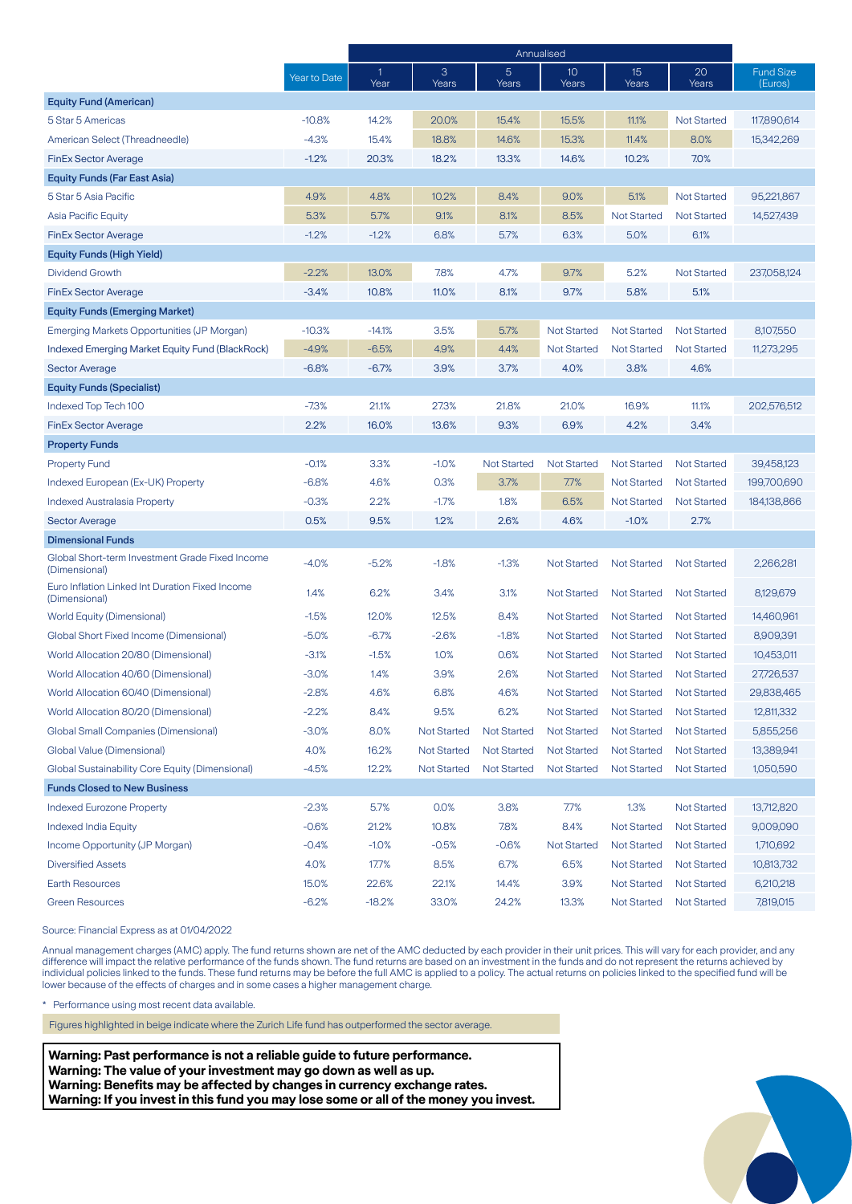|                                                                  |              | Annualised |                    |                    |                          |                          |                    |                             |
|------------------------------------------------------------------|--------------|------------|--------------------|--------------------|--------------------------|--------------------------|--------------------|-----------------------------|
|                                                                  | Year to Date | 1<br>Year  | 3<br>Years         | 5<br>Years         | 10 <sup>°</sup><br>Years | 15 <sup>2</sup><br>Years | 20<br>Years        | <b>Fund Size</b><br>(Euros) |
| <b>Equity Fund (American)</b>                                    |              |            |                    |                    |                          |                          |                    |                             |
| 5 Star 5 Americas                                                | $-10.8%$     | 14.2%      | 20.0%              | 15.4%              | 15.5%                    | 11.1%                    | <b>Not Started</b> | 117,890,614                 |
| American Select (Threadneedle)                                   | $-4.3%$      | 15.4%      | 18.8%              | 14.6%              | 15.3%                    | 11.4%                    | 8.0%               | 15,342,269                  |
| <b>FinEx Sector Average</b>                                      | $-1.2%$      | 20.3%      | 18.2%              | 13.3%              | 14.6%                    | 10.2%                    | 7.0%               |                             |
| <b>Equity Funds (Far East Asia)</b>                              |              |            |                    |                    |                          |                          |                    |                             |
| 5 Star 5 Asia Pacific                                            | 4.9%         | 4.8%       | 10.2%              | 8.4%               | 9.0%                     | 5.1%                     | <b>Not Started</b> | 95,221,867                  |
| Asia Pacific Equity                                              | 5.3%         | 5.7%       | 9.1%               | 8.1%               | 8.5%                     | <b>Not Started</b>       | <b>Not Started</b> | 14,527,439                  |
| <b>FinEx Sector Average</b>                                      | $-1.2%$      | $-1.2%$    | 6.8%               | 5.7%               | 6.3%                     | 5.0%                     | 6.1%               |                             |
| <b>Equity Funds (High Yield)</b>                                 |              |            |                    |                    |                          |                          |                    |                             |
| <b>Dividend Growth</b>                                           | $-2.2%$      | 13.0%      | 7.8%               | 4.7%               | 9.7%                     | 5.2%                     | <b>Not Started</b> | 237,058,124                 |
| <b>FinEx Sector Average</b>                                      | $-3.4%$      | 10.8%      | 11.0%              | 8.1%               | 9.7%                     | 5.8%                     | 5.1%               |                             |
| <b>Equity Funds (Emerging Market)</b>                            |              |            |                    |                    |                          |                          |                    |                             |
| Emerging Markets Opportunities (JP Morgan)                       | $-10.3%$     | $-14.1%$   | 3.5%               | 5.7%               | <b>Not Started</b>       | <b>Not Started</b>       | <b>Not Started</b> | 8,107,550                   |
| <b>Indexed Emerging Market Equity Fund (BlackRock)</b>           | $-4.9%$      | $-6.5%$    | 4.9%               | 4.4%               | Not Started              | <b>Not Started</b>       | <b>Not Started</b> | 11,273,295                  |
| <b>Sector Average</b>                                            | $-6.8%$      | $-6.7%$    | 3.9%               | 3.7%               | 4.0%                     | 3.8%                     | 4.6%               |                             |
| <b>Equity Funds (Specialist)</b>                                 |              |            |                    |                    |                          |                          |                    |                             |
| Indexed Top Tech 100                                             | $-7.3%$      | 21.1%      | 27.3%              | 21.8%              | 21.0%                    | 16.9%                    | 11.1%              | 202,576,512                 |
| <b>FinEx Sector Average</b>                                      | 2.2%         | 16.0%      | 13.6%              | 9.3%               | 6.9%                     | 4.2%                     | 3.4%               |                             |
| <b>Property Funds</b>                                            |              |            |                    |                    |                          |                          |                    |                             |
| <b>Property Fund</b>                                             | $-0.1%$      | 3.3%       | $-1.0%$            | <b>Not Started</b> | <b>Not Started</b>       | <b>Not Started</b>       | <b>Not Started</b> | 39,458,123                  |
| Indexed European (Ex-UK) Property                                | $-6.8%$      | 4.6%       | 0.3%               | 3.7%               | 7.7%                     | <b>Not Started</b>       | <b>Not Started</b> | 199,700,690                 |
| Indexed Australasia Property                                     | $-0.3%$      | 2.2%       | $-1.7%$            | 1.8%               | 6.5%                     | <b>Not Started</b>       | <b>Not Started</b> | 184,138,866                 |
| <b>Sector Average</b>                                            | 0.5%         | 9.5%       | 1.2%               | 2.6%               | 4.6%                     | $-1.0%$                  | 2.7%               |                             |
| <b>Dimensional Funds</b>                                         |              |            |                    |                    |                          |                          |                    |                             |
| Global Short-term Investment Grade Fixed Income<br>(Dimensional) | $-4.0%$      | $-5.2%$    | $-1.8%$            | $-1.3%$            | <b>Not Started</b>       | <b>Not Started</b>       | <b>Not Started</b> | 2,266,281                   |
| Euro Inflation Linked Int Duration Fixed Income<br>(Dimensional) | 1.4%         | 6.2%       | 3.4%               | 3.1%               | <b>Not Started</b>       | <b>Not Started</b>       | <b>Not Started</b> | 8,129,679                   |
| <b>World Equity (Dimensional)</b>                                | $-1.5%$      | 12.0%      | 12.5%              | 8.4%               | <b>Not Started</b>       | <b>Not Started</b>       | <b>Not Started</b> | 14,460,961                  |
| Global Short Fixed Income (Dimensional)                          | -5.0%        | $-6.7%$    | $-2.6%$            | $-1.8%$            | <b>Not Started</b>       | <b>Not Started</b>       | <b>Not Started</b> | 8,909,391                   |
| World Allocation 20/80 (Dimensional)                             | $-3.1%$      | $-1.5%$    | 1.0%               | 0.6%               | <b>Not Started</b>       | <b>Not Started</b>       | <b>Not Started</b> | 10,453,011                  |
| World Allocation 40/60 (Dimensional)                             | $-3.0%$      | 1.4%       | 3.9%               | 2.6%               | <b>Not Started</b>       | <b>Not Started</b>       | <b>Not Started</b> | 27,726,537                  |
| World Allocation 60/40 (Dimensional)                             | $-2.8%$      | 4.6%       | 6.8%               | 4.6%               | Not Started              | <b>Not Started</b>       | <b>Not Started</b> | 29,838,465                  |
| World Allocation 80/20 (Dimensional)                             | $-2.2%$      | 8.4%       | 9.5%               | 6.2%               | <b>Not Started</b>       | <b>Not Started</b>       | <b>Not Started</b> | 12,811,332                  |
| <b>Global Small Companies (Dimensional)</b>                      | $-3.0%$      | 8.0%       | <b>Not Started</b> | <b>Not Started</b> | <b>Not Started</b>       | <b>Not Started</b>       | <b>Not Started</b> | 5,855,256                   |
| Global Value (Dimensional)                                       | 4.0%         | 16.2%      | <b>Not Started</b> | <b>Not Started</b> | <b>Not Started</b>       | <b>Not Started</b>       | <b>Not Started</b> | 13,389,941                  |
| Global Sustainability Core Equity (Dimensional)                  | $-4.5%$      | 12.2%      | <b>Not Started</b> | <b>Not Started</b> | <b>Not Started</b>       | <b>Not Started</b>       | <b>Not Started</b> | 1,050,590                   |
| <b>Funds Closed to New Business</b>                              |              |            |                    |                    |                          |                          |                    |                             |
| <b>Indexed Eurozone Property</b>                                 | $-2.3%$      | 5.7%       | 0.0%               | 3.8%               | 7.7%                     | 1.3%                     | <b>Not Started</b> | 13,712,820                  |
| <b>Indexed India Equity</b>                                      | $-0.6%$      | 21.2%      | 10.8%              | 7.8%               | 8.4%                     | <b>Not Started</b>       | <b>Not Started</b> | 9,009,090                   |
| Income Opportunity (JP Morgan)                                   | $-0.4%$      | $-1.0%$    | $-0.5%$            | $-0.6%$            | <b>Not Started</b>       | <b>Not Started</b>       | <b>Not Started</b> | 1,710,692                   |
| <b>Diversified Assets</b>                                        | 4.0%         | 17.7%      | 8.5%               | 6.7%               | 6.5%                     | <b>Not Started</b>       | <b>Not Started</b> | 10,813,732                  |
| <b>Earth Resources</b>                                           | 15.0%        | 22.6%      | 22.1%              | 14.4%              | 3.9%                     | <b>Not Started</b>       | <b>Not Started</b> | 6,210,218                   |
| <b>Green Resources</b>                                           | $-6.2%$      | $-18.2%$   | 33.0%              | 24.2%              | 13.3%                    | <b>Not Started</b>       | <b>Not Started</b> | 7,819,015                   |

Source: Financial Express as at 01/04/2022

Annual management charges (AMC) apply. The fund returns shown are net of the AMC deducted by each provider in their unit prices. This will vary for each provider, and any difference will impact the relative performance of the funds shown. The fund returns are based on an investment in the funds and do not represent the returns achieved by individual policies linked to the funds. These fund returns may be before the full AMC is applied to a policy. The actual returns on policies linked to the specified fund will be lower because of the effects of charges and in some cases a higher management charge.

\* Performance using most recent data available.

Figures highlighted in beige indicate where the Zurich Life fund has outperformed the sector average.

**Warning: Past performance is not a reliable guide to future performance. Warning: The value of your investment may go down as well as up. Warning: Benefits may be affected by changes in currency exchange rates. Warning: If you invest in this fund you may lose some or all of the money you invest.**